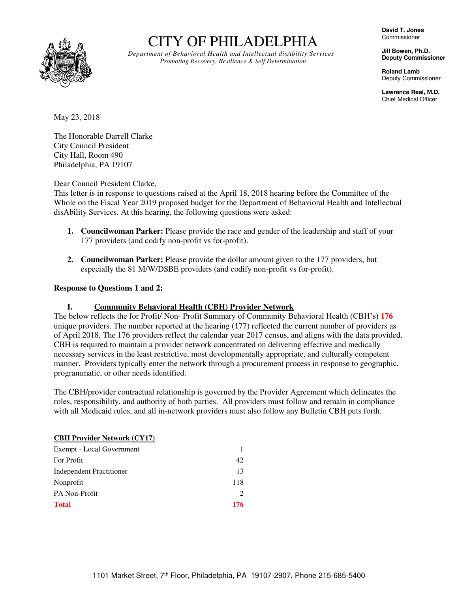

# CITY OF PHILADELPHIA

*Department of Behavioral Health and Intellectual disAbility Services Promoting Recovery, Resilience & Self Determination*

**David T. Jones**  Commissioner

**Jill Bowen, Ph.D. Deputy Commissioner** 

**Roland Lamb**  Deputy Commissioner

**Lawrence Real, M.D.**  Chief Medical Officer

May 23, 2018

The Honorable Darrell Clarke City Council President City Hall, Room 490 Philadelphia, PA 19107

Dear Council President Clarke,

This letter is in response to questions raised at the April 18, 2018 hearing before the Committee of the Whole on the Fiscal Year 2019 proposed budget for the Department of Behavioral Health and Intellectual disAbility Services. At this hearing, the following questions were asked:

- **1. Councilwoman Parker:** Please provide the race and gender of the leadership and staff of your 177 providers (and codify non-profit vs for-profit).
- **2. Councilwoman Parker:** Please provide the dollar amount given to the 177 providers, but especially the 81 M/W/DSBE providers (and codify non-profit vs for-profit).

## **Response to Questions 1 and 2:**

## **I. Community Behavioral Health (CBH) Provider Network**

The below reflects the for Profit/ Non- Profit Summary of Community Behavioral Health (CBH's) **176** unique providers. The number reported at the hearing (177) reflected the current number of providers as of April 2018. The 176 providers reflect the calendar year 2017 census, and aligns with the data provided. CBH is required to maintain a provider network concentrated on delivering effective and medically necessary services in the least restrictive, most developmentally appropriate, and culturally competent manner. Providers typically enter the network through a procurement process in response to geographic, programmatic, or other needs identified.

The CBH/provider contractual relationship is governed by the Provider Agreement which delineates the roles, responsibility, and authority of both parties. All providers must follow and remain in compliance with all Medicaid rules, and all in-network providers must also follow any Bulletin CBH puts forth.

| <b>CBH Provider Network (CY17)</b> |     |  |
|------------------------------------|-----|--|
| Exempt - Local Government          |     |  |
| For Profit                         | 42  |  |
| <b>Independent Practitioner</b>    | 13  |  |
| Nonprofit                          | 118 |  |
| <b>PA Non-Profit</b>               |     |  |
| <b>Total</b>                       | 176 |  |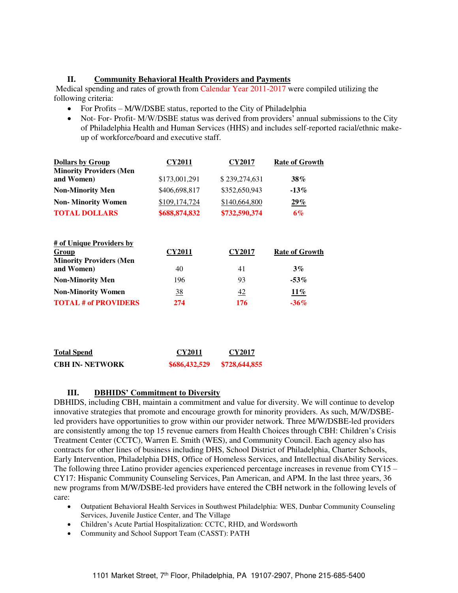### **II. Community Behavioral Health Providers and Payments**

 Medical spending and rates of growth from Calendar Year 2011-2017 were compiled utilizing the following criteria:

- For Profits M/W/DSBE status, reported to the City of Philadelphia
- Not- For- Profit- M/W/DSBE status was derived from providers' annual submissions to the City of Philadelphia Health and Human Services (HHS) and includes self-reported racial/ethnic makeup of workforce/board and executive staff.

| <b>Dollars by Group</b>                                                           | <b>CY2011</b>       | <b>CY2017</b>       | <b>Rate of Growth</b>       |
|-----------------------------------------------------------------------------------|---------------------|---------------------|-----------------------------|
| <b>Minority Providers (Men</b>                                                    |                     |                     |                             |
| and Women)                                                                        | \$173,001,291       | \$239,274,631       | 38%                         |
| <b>Non-Minority Men</b>                                                           | \$406,698,817       | \$352,650,943       | $-13\%$                     |
| <b>Non-Minority Women</b>                                                         | \$109,174,724       | \$140,664,800       | $29\%$                      |
| <b>TOTAL DOLLARS</b>                                                              | \$688,874,832       | \$732,590,374       | $6\%$                       |
| # of Unique Providers by<br>Group<br><b>Minority Providers (Men</b><br>and Women) | <u>CY2011</u><br>40 | <b>CY2017</b><br>41 | <b>Rate of Growth</b><br>3% |
| <b>Non-Minority Men</b>                                                           | 196                 | 93                  | $-53\%$                     |
| <b>Non-Minority Women</b>                                                         | $\overline{38}$     | 42                  | <u> 11%</u>                 |
| <b>TOTAL # of PROVIDERS</b>                                                       | 274                 | 176                 | $-36\%$                     |
|                                                                                   |                     |                     |                             |
|                                                                                   |                     |                     |                             |
|                                                                                   |                     |                     |                             |

| <b>Total Spend</b>     | CY2011        | CY2017        |
|------------------------|---------------|---------------|
| <b>CBH IN- NETWORK</b> | \$686,432,529 | \$728,644,855 |

## **III. DBHIDS' Commitment to Diversity**

DBHIDS, including CBH, maintain a commitment and value for diversity. We will continue to develop innovative strategies that promote and encourage growth for minority providers. As such, M/W/DSBEled providers have opportunities to grow within our provider network. Three M/W/DSBE-led providers are consistently among the top 15 revenue earners from Health Choices through CBH: Children's Crisis Treatment Center (CCTC), Warren E. Smith (WES), and Community Council. Each agency also has contracts for other lines of business including DHS, School District of Philadelphia, Charter Schools, Early Intervention, Philadelphia DHS, Office of Homeless Services, and Intellectual disAbility Services. The following three Latino provider agencies experienced percentage increases in revenue from CY15 – CY17: Hispanic Community Counseling Services, Pan American, and APM. In the last three years, 36 new programs from M/W/DSBE-led providers have entered the CBH network in the following levels of care:

- Outpatient Behavioral Health Services in Southwest Philadelphia: WES, Dunbar Community Counseling Services, Juvenile Justice Center, and The Village
- Children's Acute Partial Hospitalization: CCTC, RHD, and Wordsworth
- Community and School Support Team (CASST): PATH